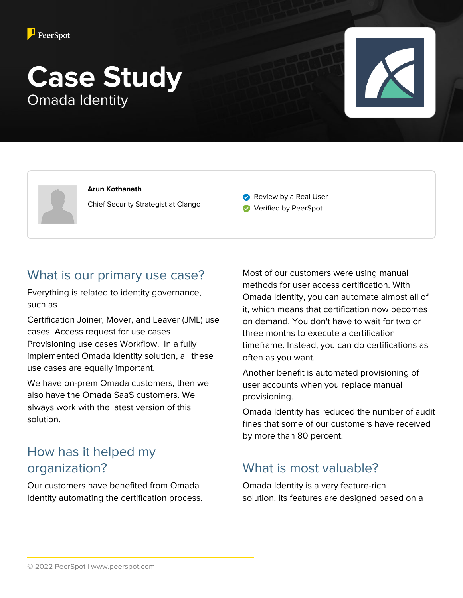

# **Case Study** Omada Identity



**Arun Kothanath** Chief Security Strategist at Clango

Review by a Real User

**Verified by PeerSpot** 

#### What is our primary use case?

Everything is related to identity governance, such as

Certification Joiner, Mover, and Leaver (JML) use cases Access request for use cases Provisioning use cases Workflow. In a fully implemented Omada Identity solution, all these use cases are equally important.

We have on-prem Omada customers, then we also have the Omada SaaS customers. We always work with the latest version of this solution.

# How has it helped my organization?

Our customers have benefited from Omada Identity automating the certification process.

Most of our customers were using manual methods for user access certification. With Omada Identity, you can automate almost all of it, which means that certification now becomes on demand. You don't have to wait for two or three months to execute a certification timeframe. Instead, you can do certifications as often as you want.

Another benefit is automated provisioning of user accounts when you replace manual provisioning.

Omada Identity has reduced the number of audit fines that some of our customers have received by more than 80 percent.

# What is most valuable?

Omada Identity is a very feature-rich solution. Its features are designed based on a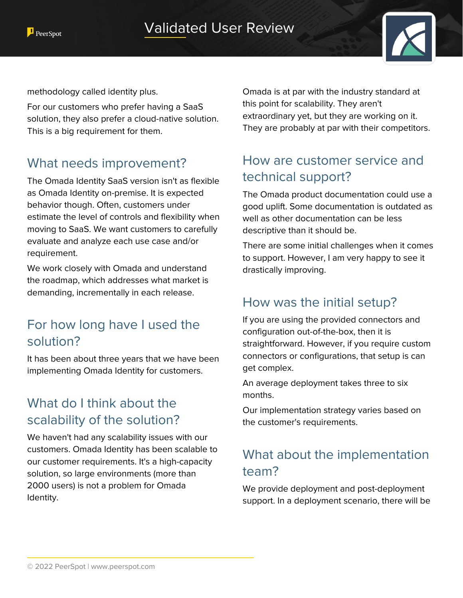



methodology called identity plus.

For our customers who prefer having a SaaS solution, they also prefer a cloud-native solution. This is a big requirement for them.

#### What needs improvement?

The Omada Identity SaaS version isn't as flexible as Omada Identity on-premise. It is expected behavior though. Often, customers under estimate the level of controls and flexibility when moving to SaaS. We want customers to carefully evaluate and analyze each use case and/or requirement.

We work closely with Omada and understand the roadmap, which addresses what market is demanding, incrementally in each release.

### For how long have I used the solution?

It has been about three years that we have been implementing Omada Identity for customers.

# What do I think about the scalability of the solution?

We haven't had any scalability issues with our customers. Omada Identity has been scalable to our customer requirements. It's a high-capacity solution, so large environments (more than 2000 users) is not a problem for Omada Identity.

Omada is at par with the industry standard at this point for scalability. They aren't extraordinary yet, but they are working on it. They are probably at par with their competitors.

### How are customer service and technical support?

The Omada product documentation could use a good uplift. Some documentation is outdated as well as other documentation can be less descriptive than it should be.

There are some initial challenges when it comes to support. However, I am very happy to see it drastically improving.

### How was the initial setup?

If you are using the provided connectors and configuration out-of-the-box, then it is straightforward. However, if you require custom connectors or configurations, that setup is can get complex.

An average deployment takes three to six months.

Our implementation strategy varies based on the customer's requirements.

# What about the implementation team?

We provide deployment and post-deployment support. In a deployment scenario, there will be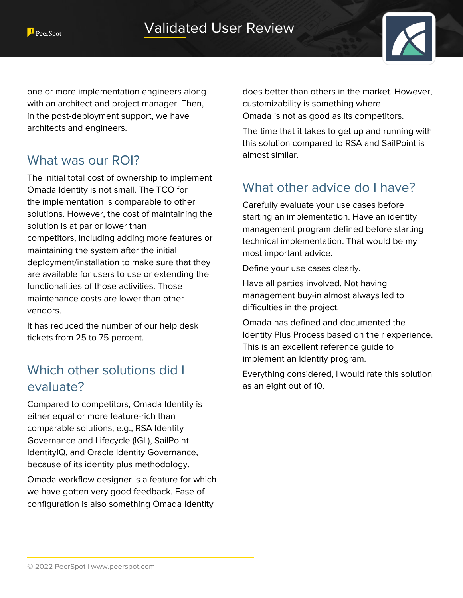

one or more implementation engineers along with an architect and project manager. Then, in the post-deployment support, we have architects and engineers.

#### What was our ROI?

The initial total cost of ownership to implement Omada Identity is not small. The TCO for the implementation is comparable to other solutions. However, the cost of maintaining the solution is at par or lower than competitors, including adding more features or maintaining the system after the initial deployment/installation to make sure that they are available for users to use or extending the functionalities of those activities. Those maintenance costs are lower than other vendors.

It has reduced the number of our help desk tickets from 25 to 75 percent.

# Which other solutions did I evaluate?

Compared to competitors, Omada Identity is either equal or more feature-rich than comparable solutions, e.g., RSA Identity Governance and Lifecycle (IGL), SailPoint IdentityIQ, and Oracle Identity Governance, because of its identity plus methodology.

Omada workflow designer is a feature for which we have gotten very good feedback. Ease of configuration is also something Omada Identity

does better than others in the market. However, customizability is something where Omada is not as good as its competitors.

The time that it takes to get up and running with this solution compared to RSA and SailPoint is almost similar.

# What other advice do I have?

Carefully evaluate your use cases before starting an implementation. Have an identity management program defined before starting technical implementation. That would be my most important advice.

Define your use cases clearly.

Have all parties involved. Not having management buy-in almost always led to difficulties in the project.

Omada has defined and documented the Identity Plus Process based on their experience. This is an excellent reference guide to implement an Identity program.

Everything considered, I would rate this solution as an eight out of 10.